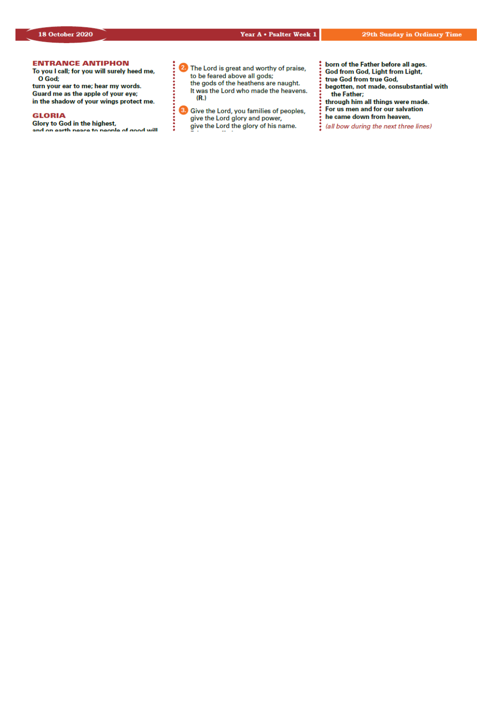## *Our Lady & St Edmund of Abingdon 1 Radley Rd, Abingdon on Thames, Oxon, OX14 3PL*

We are a **LiveSimply** parish aiming to live Simply, Sustainably and in Solidarity with the Poor

| Parish Priest:              | Fr. Jamie McGrath                                               | Tel: 01235 520375 |
|-----------------------------|-----------------------------------------------------------------|-------------------|
| Parish Secretary:           | Lisa Paterson                                                   | Tel: 01235 520375 |
| Office Hours:               | 10.30am-12.30pm Tuesday to Friday                               |                   |
| Office Email:               | abingdon@portsmouthdiocese.org.uk                               |                   |
| We live stream all services |                                                                 |                   |
| Safeguarding Team:          | Tel. 07572 935 230                                              |                   |
| Visits at JR Hospital:      | Fr Pius 01865 221732                                            |                   |
| Visits and Help:            | Society of Vincent de Paul Group, contact via Parish Office     |                   |
| Parish Website:             | www.ourladyandstedmund.org.uk                                   |                   |
| Primary School:             | St. Edmund's School, Radley Road, Abingdon, OX14 3PP Tel 521558 |                   |
|                             |                                                                 |                   |



**CONFESSIONS:** For now, this is by appointment only. Please contact the parish office to make a booking.

#### **PRIVATE PRAYER**

The church will be open for **private prayer only**, between **12.00pm and 1.00pm on Tuesdays** and **Fridays**.

#### **MASS BOOKINGS**

Please remember that *bookings for the whole week beginning Sunday 25th Oct. to Saturday 31st Oct.* should be made on *Monday 19th October*. Do please *try and give us several options for days/times* when you could come and let us know *how many people you are booking for*. We will do our best to accommodate your request. If you would like to attend more than one Mass in the week, please make this clear when you book.

# TO BOOK FOR

## **No Internet Access?**

Phone 07395 946827 EACH MONDAY between 10am and 11am ONLY to book a place for the FOLLOWING week

## **Have Internet Access?**

**DON'T phone. Instead, email:** contact@ourladyandstedmund.org.uk **EACH MONDAY, to book a place for the FOLLOWING week** 

#### **NEWSLETTER:**

For now, please print your own copy from the *News* page of our website, or for those without Internet access, bring the copy delivered to you on Saturdays. We are also unable to accept any books, pamphlets, etc. at this point in time.

#### **PRAYERS:**

Keep in your prayers the 23 children who recently received the Sacrament of the Holy Eucharist and the 22 young people who were recently Confirmed. Pray too for their families.

Roman Catholic Diocese of Portsmouth Reg. Charity No 246871 www.portsmouthdiocese.org.uk

#### **29th week of Ordinary Time** *In Church for those who have booked, and also live streamed*

#### **Sunday 18 October**

| $10.15$ am         | (Rosemary Zambellas Intentions,<br>Mass<br>90th Birthday) |                  |
|--------------------|-----------------------------------------------------------|------------------|
| 2.00 <sub>pm</sub> | Polish Mass                                               |                  |
| 6.30 <sub>pm</sub> | Mass                                                      | (Jim Carey, RIP) |

#### **Monday 19 October**

| 9am | Mass | (Deceased Members of the Greaney) |
|-----|------|-----------------------------------|
|     |      | Family, RIP)                      |

#### **Tuesday 20 October**

NO Mass See: *www.ourladyandstedmund.org.uk/englishmartyrs-vale-of-white-horse* for other masses

#### **Wednesday 21 October**

7pm Mass (Private intention)

**Thursday 22 October**  9.30am Mass (Lisa Paterson intentions)

**Friday 23 October** 7pm Mass (Peter Browne, RIP)

#### **Saturday 24 October**

12pm Mass (Antonio Gomes, RIP - anniversary)



#### **SPIRITUAL COMMUNION PRAYER:**

My Jesus, I believe that You are present in the Most Blessed Sacrament. I love You above all things, and I desire to receive You into my soul. Since I cannot today receive You sacramentally, come at least spiritually into my heart. I embrace You as if You were already there, and unite myself wholly to You. Never permit me to be separated from You.